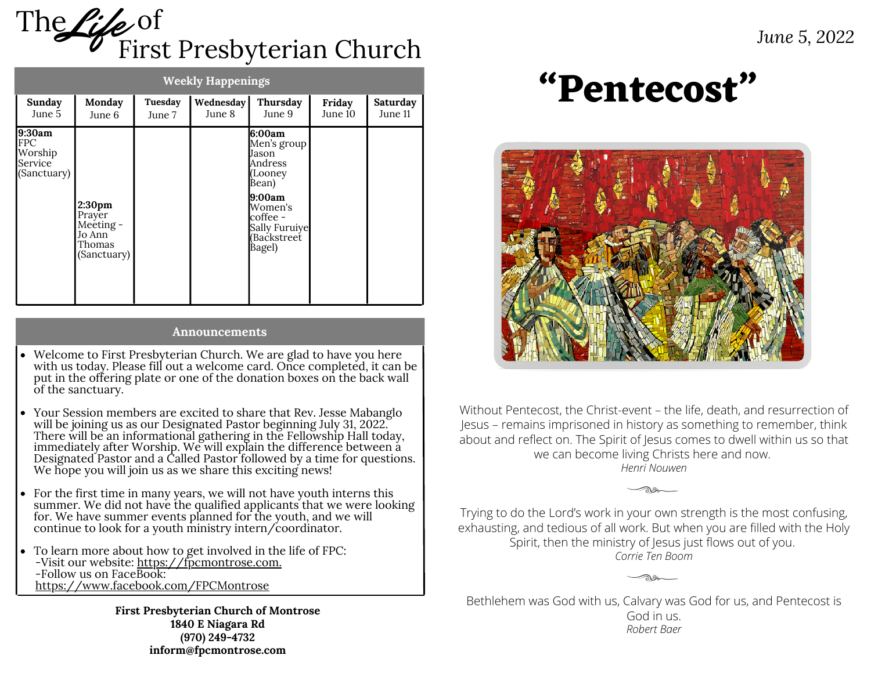

| <b>Weekly Happenings</b>                                  |                                                                              |                   |                     |                                                                                                                                           |                   |                     |
|-----------------------------------------------------------|------------------------------------------------------------------------------|-------------------|---------------------|-------------------------------------------------------------------------------------------------------------------------------------------|-------------------|---------------------|
| Sunday<br>June 5                                          | Monday<br>June 6                                                             | Tuesday<br>June 7 | Wednesday<br>June 8 | Thursday<br>June 9                                                                                                                        | Friday<br>June 10 | Saturday<br>June 11 |
| 9:30am<br><b>FPC</b><br>Worship<br>Service<br>(Sanctuary) | 2:30 <sub>pm</sub><br>Prayer<br>Meeting -<br>Jo Ann<br>Thomas<br>(Sanctuary) |                   |                     | 6:00am<br>Men's group<br>Jason<br>Andress<br>(Looney<br>Bean)<br>9:00am<br>Women's<br>coffee -<br>Sally Furuiye<br>(Backstreet)<br>Bagel) |                   |                     |

#### **Announcements**

- Welcome to First Presbyterian Church. We are glad to have you here with us today. Please fill out a welcome card. Once completed, it can be put in the offering plate or one of the donation boxes on the back wall of the sanctuary.
- Your Session members are excited to share that Rev. Jesse Mabanglo will be joining us as our Designated Pastor beginning July 31, 2022. There will be an informational gathering in the Fellowship Hall today, immediately after Worship. We will explain the difference between a Designated Pastor and a Called Pastor followed by a time for questions. We hope you will join us as we share this exciting news!
- For the first time in many years, we will not have youth interns this summer. We did not have the qualified applicants that we were looking for. We have summer events planned for the youth, and we will continue to look for a youth ministry intern/coordinator.
- To learn more about how to get involved in the life of FPC: -Visit our website: [https://fpcmontrose.com.](https://fpcmontrose.com/) -Follow us on FaceBook: [https://www.facebook.com/FPCMontrose](https://www.facebook.com/FPCMontrose/)

**First Presbyterian Church of Montrose 1840 E Niagara Rd (970) 249-4732 inform@fpcmontrose.com**

# **"Pentecost"**



Without Pentecost, the Christ-event – the life, death, and resurrection of Jesus – remains imprisoned in history as something to remember, think about and reflect on. The Spirit of Jesus comes to dwell within us so that we can become living Christs here and now. *Henri Nouwen*

Trying to do the Lord's work in your own strength is the most confusing, exhausting, and tedious of all work. But when you are filled with the Holy Spirit, then the ministry of Jesus just flows out of you. *Corrie Ten Boom*

ショナー

Bethlehem was God with us, Calvary was God for us, and Pentecost is God in us. *Robert Baer*

س و ∪و